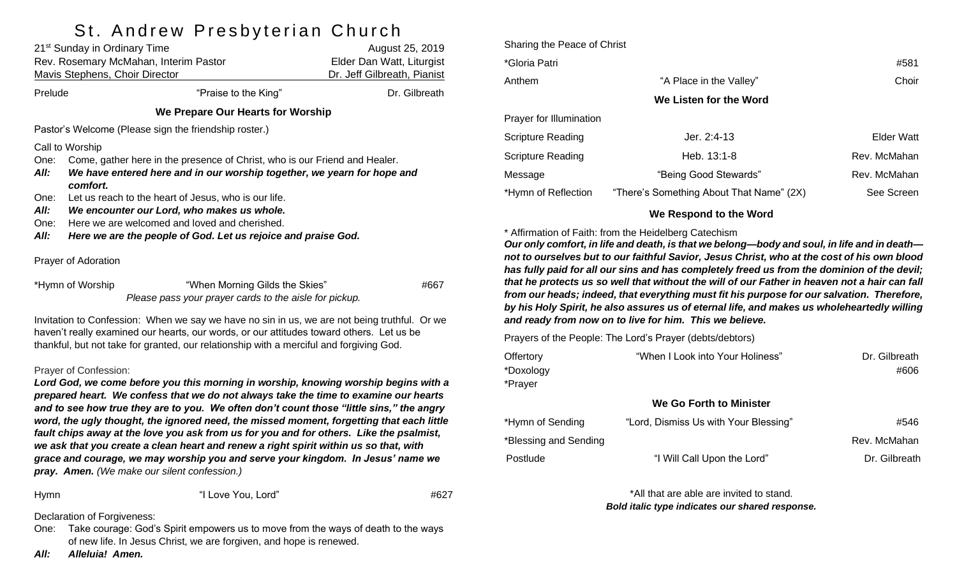## St. Andrew Presbyterian Church

|                                                                                                                                                                                                                                                                                     | 21 <sup>st</sup> Sunday in Ordinary Time<br>Rev. Rosemary McMahan, Interim Pastor<br>Mavis Stephens, Choir Director                                               | August 25, 2019<br>Elder Dan Watt, Liturgist<br>Dr. Jeff Gilbreath, Pianist                                    |               |  |  |  |
|-------------------------------------------------------------------------------------------------------------------------------------------------------------------------------------------------------------------------------------------------------------------------------------|-------------------------------------------------------------------------------------------------------------------------------------------------------------------|----------------------------------------------------------------------------------------------------------------|---------------|--|--|--|
| Prelude                                                                                                                                                                                                                                                                             |                                                                                                                                                                   | "Praise to the King"                                                                                           | Dr. Gilbreath |  |  |  |
| We Prepare Our Hearts for Worship                                                                                                                                                                                                                                                   |                                                                                                                                                                   |                                                                                                                |               |  |  |  |
| Pastor's Welcome (Please sign the friendship roster.)                                                                                                                                                                                                                               |                                                                                                                                                                   |                                                                                                                |               |  |  |  |
| Call to Worship                                                                                                                                                                                                                                                                     |                                                                                                                                                                   |                                                                                                                |               |  |  |  |
| One:<br>All:                                                                                                                                                                                                                                                                        | Come, gather here in the presence of Christ, who is our Friend and Healer.<br>We have entered here and in our worship together, we yearn for hope and<br>comfort. |                                                                                                                |               |  |  |  |
| One:                                                                                                                                                                                                                                                                                | Let us reach to the heart of Jesus, who is our life.                                                                                                              |                                                                                                                |               |  |  |  |
| All:                                                                                                                                                                                                                                                                                | We encounter our Lord, who makes us whole.                                                                                                                        |                                                                                                                |               |  |  |  |
| One:<br>All:                                                                                                                                                                                                                                                                        |                                                                                                                                                                   | Here we are welcomed and loved and cherished.<br>Here we are the people of God. Let us rejoice and praise God. |               |  |  |  |
|                                                                                                                                                                                                                                                                                     |                                                                                                                                                                   |                                                                                                                |               |  |  |  |
| Prayer of Adoration                                                                                                                                                                                                                                                                 |                                                                                                                                                                   |                                                                                                                |               |  |  |  |
| *Hymn of Worship                                                                                                                                                                                                                                                                    |                                                                                                                                                                   | "When Morning Gilds the Skies"<br>Please pass your prayer cards to the aisle for pickup.                       | #667          |  |  |  |
| Invitation to Confession: When we say we have no sin in us, we are not being truthful. Or we<br>haven't really examined our hearts, our words, or our attitudes toward others. Let us be<br>thankful, but not take for granted, our relationship with a merciful and forgiving God. |                                                                                                                                                                   |                                                                                                                |               |  |  |  |

#### Prayer of Confession:

*Lord God, we come before you this morning in worship, knowing worship begins with a prepared heart. We confess that we do not always take the time to examine our hearts and to see how true they are to you. We often don't count those "little sins," the angry word, the ugly thought, the ignored need, the missed moment, forgetting that each little fault chips away at the love you ask from us for you and for others. Like the psalmist, we ask that you create a clean heart and renew a right spirit within us so that, with grace and courage, we may worship you and serve your kingdom. In Jesus' name we pray. Amen. (We make our silent confession.)*

Hymn "I Love You, Lord" #627

Declaration of Forgiveness:

One: Take courage: God's Spirit empowers us to move from the ways of death to the ways of new life. In Jesus Christ, we are forgiven, and hope is renewed.

Sharing the Peace of Christ \*Gloria Patri #581 Anthem **"A Place in the Valley"** Choir Choir **We Listen for the Word** Prayer for Illumination Scripture Reading The Matter of the U.S. 1.4-13 Accepture Reading The Matter of the U.S. 2:4-13 Scripture Reading The Rev. McMahan Heb. 13:1-8 Rev. McMahan Message **The Coologn Stewards** "Being Good Stewards" **Rev. McMahan** \*Hymn of Reflection "There's Something About That Name" (2X) See Screen

#### **We Respond to the Word**

\* Affirmation of Faith: from the Heidelberg Catechism

*Our only comfort, in life and death, is that we belong—body and soul, in life and in death not to ourselves but to our faithful Savior, Jesus Christ, who at the cost of his own blood has fully paid for all our sins and has completely freed us from the dominion of the devil; that he protects us so well that without the will of our Father in heaven not a hair can fall from our heads; indeed, that everything must fit his purpose for our salvation. Therefore, by his Holy Spirit, he also assures us of eternal life, and makes us wholeheartedly willing and ready from now on to live for him. This we believe.*

Prayers of the People: The Lord's Prayer (debts/debtors)

| Offertory | "When I Look into Your Holiness" | Dr. Gilbreath |
|-----------|----------------------------------|---------------|
| *Doxology |                                  | #606          |
| *Prayer   |                                  |               |
|           | We Go Forth to Minister          |               |

| *Hymn of Sending      | "Lord, Dismiss Us with Your Blessing" | #546          |
|-----------------------|---------------------------------------|---------------|
| *Blessing and Sending |                                       | Rev. McMahan  |
| Postlude              | "I Will Call Upon the Lord"           | Dr. Gilbreath |

\*All that are able are invited to stand. *Bold italic type indicates our shared response.*

*All: Alleluia! Amen.*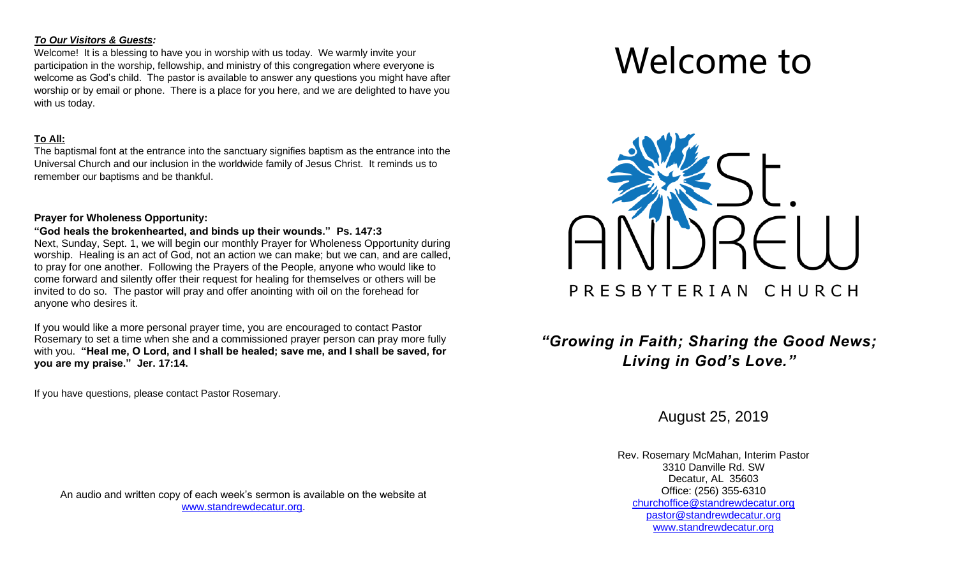#### *To Our Visitors & Guests:*

Welcome! It is a blessing to have you in worship with us today. We warmly invite your participation in the worship, fellowship, and ministry of this congregation where everyone is welcome as God's child. The pastor is available to answer any questions you might have after worship or by email or phone. There is a place for you here, and we are delighted to have you with us today.

### **To All:**

The baptismal font at the entrance into the sanctuary signifies baptism as the entrance into the Universal Church and our inclusion in the worldwide family of Jesus Christ. It reminds us to remember our baptisms and be thankful.

### **Prayer for Wholeness Opportunity:**

#### **"God heals the brokenhearted, and binds up their wounds." Ps. 147:3**

Next, Sunday, Sept. 1, we will begin our monthly Prayer for Wholeness Opportunity during worship. Healing is an act of God, not an action we can make; but we can, and are called, to pray for one another. Following the Prayers of the People, anyone who would like to come forward and silently offer their request for healing for themselves or others will be invited to do so. The pastor will pray and offer anointing with oil on the forehead for anyone who desires it.

If you would like a more personal prayer time, you are encouraged to contact Pastor Rosemary to set a time when she and a commissioned prayer person can pray more fully with you. **"Heal me, O Lord, and I shall be healed; save me, and I shall be saved, for you are my praise." Jer. 17:14.**

If you have questions, please contact Pastor Rosemary.

An audio and written copy of each week's sermon is available on the website at [www.standrewdecatur.org.](http://www.standrewdecatur.org/)

# Welcome to



## *"Growing in Faith; Sharing the Good News; Living in God's Love."*

August 25, 2019

Rev. Rosemary McMahan, Interim Pastor 3310 Danville Rd. SW Decatur, AL 35603 Office: (256) 355-6310 [churchoffice@standrewdecatur.org](mailto:churchoffice@standrewdecatur.org) pastor@standrewdecatur.org [www.standrewdecatur.org](http://www.standrewdecatur.org/)